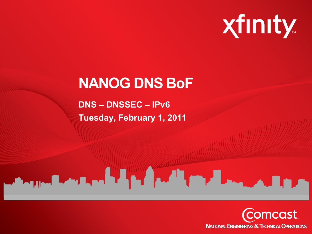

# **NANOG DNS BoF**

**DNS – DNSSEC – IPv6 Tuesday, February 1, 2011**

**CONTRACTOR** TO THE RESIDENCE OF THE RESIDENCE OF THE RESIDENCE OF THE RESIDENCE OF THE RESIDENCE OF THE RESIDENCE OF THE RESIDENCE OF THE RESIDENCE OF THE RESIDENCE OF THE RESIDENCE OF THE RESIDENCE OF THE RESIDENCE OF TH

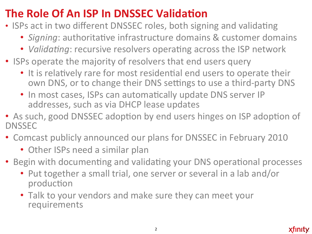## The Role Of An ISP In DNSSEC Validation

- ISPs act in two different DNSSEC roles, both signing and validating
	- Signing: authoritative infrastructure domains & customer domains
	- Validating: recursive resolvers operating across the ISP network
- ISPs operate the majority of resolvers that end users query
	- It is relatively rare for most residential end users to operate their own DNS, or to change their DNS settings to use a third-party DNS
	- In most cases, ISPs can automatically update DNS server IP addresses, such as via DHCP lease updates
- As such, good DNSSEC adoption by end users hinges on ISP adoption of **DNSSEC**
- Comcast publicly announced our plans for DNSSEC in February 2010
	- Other ISPs need a similar plan
- Begin with documenting and validating your DNS operational processes
	- Put together a small trial, one server or several in a lab and/or production
	- Talk to your vendors and make sure they can meet your requirements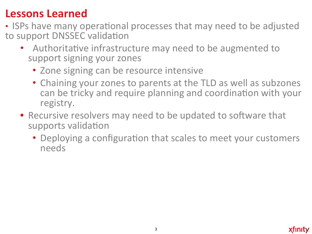#### **Lessons Learned**

- ISPs have many operational processes that may need to be adjusted to support DNSSEC validation
	- Authoritative infrastructure may need to be augmented to support signing your zones
		- Zone signing can be resource intensive
		- Chaining your zones to parents at the TLD as well as subzones can be tricky and require planning and coordination with your registry.
	- Recursive resolvers may need to be updated to software that supports validation
		- Deploying a configuration that scales to meet your customers needs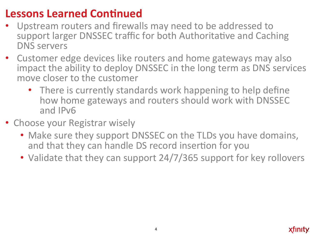#### Lessons Learned Continued

- Upstream routers and firewalls may need to be addressed to support larger DNSSEC traffic for both Authoritative and Caching DNS servers
- Customer edge devices like routers and home gateways may also impact the ability to deploy DNSSEC in the long term as DNS services move closer to the customer
	- There is currently standards work happening to help define how home gateways and routers should work with DNSSEC and IPv6
- Choose your Registrar wisely
	- Make sure they support DNSSEC on the TLDs you have domains, and that they can handle DS record insertion for you
	- Validate that they can support  $24/7/365$  support for key rollovers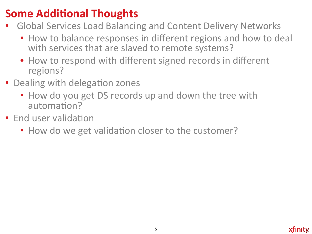### **Some Additional Thoughts**

- Global Services Load Balancing and Content Delivery Networks
	- How to balance responses in different regions and how to deal with services that are slaved to remote systems?
	- How to respond with different signed records in different regions?
- Dealing with delegation zones
	- How do you get DS records up and down the tree with automation?
- End user validation
	- How do we get validation closer to the customer?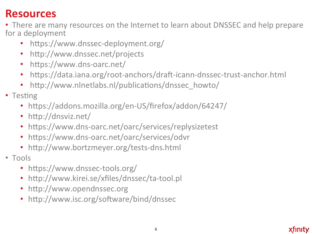#### **Resources'**

- There are many resources on the Internet to learn about DNSSEC and help prepare for a deployment
	- https://www.dnssec-deployment.org/
	- http://www.dnssec.net/projects
	- https://www.dns-oarc.net/
	- https://data.iana.org/root-anchors/draft-icann-dnssec-trust-anchor.html
	- http://www.nlnetlabs.nl/publications/dnssec\_howto/
- Testing
	- https://addons.mozilla.org/en-US/firefox/addon/64247/
	- http://dnsviz.net/
	- https://www.dns-oarc.net/oarc/services/replysizetest
	- https://www.dns-oarc.net/oarc/services/odvr
	- http://www.bortzmeyer.org/tests-dns.html
- Tools
	- https://www.dnssec-tools.org/
	- http://www.kirei.se/xfiles/dnssec/ta-tool.pl
	- http://www.opendnssec.org
	- http://www.isc.org/software/bind/dnssec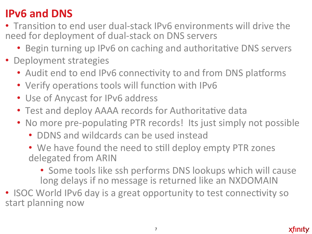#### **IPv6 and DNS**

- Transition to end user dual-stack IPv6 environments will drive the need for deployment of dual-stack on DNS servers
	- Begin turning up IPv6 on caching and authoritative DNS servers
- Deployment strategies
	- Audit end to end IPv6 connectivity to and from DNS platforms
	- Verify operations tools will function with IPv6
	- Use of Anycast for IPv6 address
	- Test and deploy AAAA records for Authoritative data
	- No more pre-populating PTR records! Its just simply not possible
		- DDNS and wildcards can be used instead
		- We have found the need to still deploy empty PTR zones delegated from ARIN
			- Some tools like ssh performs DNS lookups which will cause long delays if no message is returned like an NXDOMAIN

• ISOC World IPv6 day is a great opportunity to test connectivity so start planning now